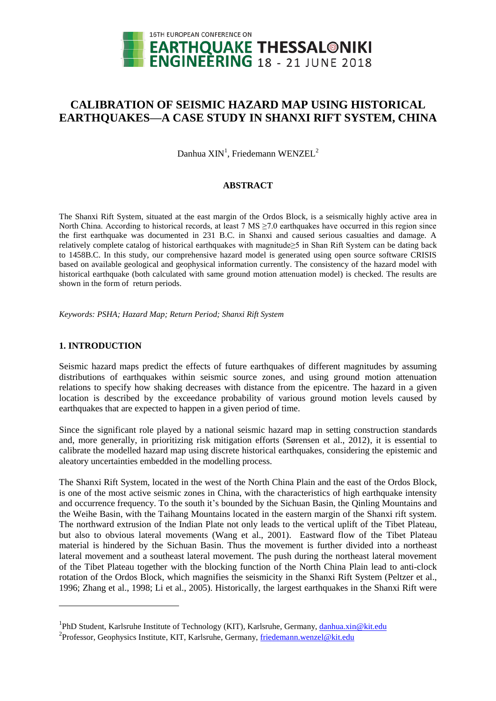

# **CALIBRATION OF SEISMIC HAZARD MAP USING HISTORICAL EARTHQUAKES—A CASE STUDY IN SHANXI RIFT SYSTEM, CHINA**

Danhua  $XIN<sup>1</sup>$ , Friedemann WENZEL<sup>2</sup>

## **ABSTRACT**

The Shanxi Rift System, situated at the east margin of the Ordos Block, is a seismically highly active area in North China. According to historical records, at least 7 MS  $\geq$ 7.0 earthquakes have occurred in this region since the first earthquake was documented in 231 B.C. in Shanxi and caused serious casualties and damage. A relatively complete catalog of historical earthquakes with magnitude≥5 in Shan Rift System can be dating back to 1458B.C. In this study, our comprehensive hazard model is generated using open source software CRISIS based on available geological and geophysical information currently. The consistency of the hazard model with historical earthquake (both calculated with same ground motion attenuation model) is checked. The results are shown in the form of return periods.

*Keywords: PSHA; Hazard Map; Return Period; Shanxi Rift System*

## **1. INTRODUCTION**

l

Seismic hazard maps predict the effects of future earthquakes of different magnitudes by assuming distributions of earthquakes within seismic source zones, and using ground motion attenuation relations to specify how shaking decreases with distance from the epicentre. The hazard in a given location is described by the exceedance probability of various ground motion levels caused by earthquakes that are expected to happen in a given period of time.

Since the significant role played by a national seismic hazard map in setting construction standards and, more generally, in prioritizing risk mitigation efforts (Sørensen et al., 2012), it is essential to calibrate the modelled hazard map using discrete historical earthquakes, considering the epistemic and aleatory uncertainties embedded in the modelling process.

The Shanxi Rift System, located in the west of the North China Plain and the east of the Ordos Block, is one of the most active seismic zones in China, with the characteristics of high earthquake intensity and occurrence frequency. To the south it's bounded by the Sichuan Basin, the Qinling Mountains and the Weihe Basin, with the Taihang Mountains located in the eastern margin of the Shanxi rift system. The northward extrusion of the Indian Plate not only leads to the vertical uplift of the Tibet Plateau, but also to obvious lateral movements (Wang et al., 2001). Eastward flow of the Tibet Plateau material is hindered by the Sichuan Basin. Thus the movement is further divided into a northeast lateral movement and a southeast lateral movement. The push during the northeast lateral movement of the Tibet Plateau together with the blocking function of the North China Plain lead to anti-clock rotation of the Ordos Block, which magnifies the seismicity in the Shanxi Rift System (Peltzer et al., 1996; Zhang et al., 1998; Li et al., 2005). Historically, the largest earthquakes in the Shanxi Rift were

<sup>&</sup>lt;sup>1</sup>PhD Student, Karlsruhe Institute of Technology (KIT), Karlsruhe, Germany, [danhua.xin@kit.edu](mailto:danhua.xin@kit.edu)

<sup>&</sup>lt;sup>2</sup> Professor, Geophysics Institute, KIT, Karlsruhe, Germany, [friedemann.wenzel@kit.edu](mailto:friedemann.wenzel@kit.edu)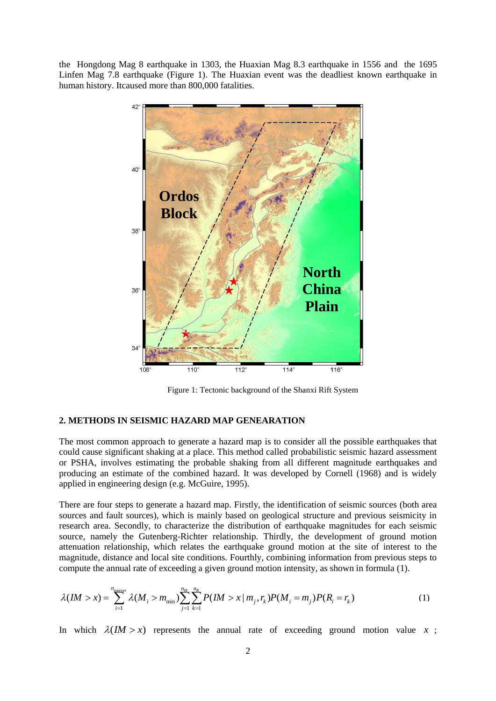the Hongdong Mag 8 earthquake in 1303, the Huaxian Mag 8.3 earthquake in 1556 and the 1695 Linfen Mag 7.8 earthquake (Figure 1). The Huaxian event was the deadliest known earthquake in human history. Itcaused more than 800,000 fatalities.



Figure 1: Tectonic background of the Shanxi Rift System

#### **2. METHODS IN SEISMIC HAZARD MAP GENEARATION**

The most common approach to generate a hazard map is to consider all the possible earthquakes that could cause significant shaking at a place. This method called probabilistic seismic hazard assessment or PSHA, involves estimating the probable shaking from all different magnitude earthquakes and producing an estimate of the combined hazard. It was developed by Cornell (1968) and is widely applied in engineering design (e.g. McGuire, 1995).

There are four steps to generate a hazard map. Firstly, the identification of seismic sources (both area sources and fault sources), which is mainly based on geological structure and previous seismicity in research area. Secondly, to characterize the distribution of earthquake magnitudes for each seismic source, namely the Gutenberg-Richter relationship. Thirdly, the development of ground motion attenuation relationship, which relates the earthquake ground motion at the site of interest to the magnitude, distance and local site conditions. Fourthly, combining information from previous steps to tion relationship, which relates the earthquake ground motion at the site of in<br>ude, distance and local site conditions. Fourthly, combining information from pre-<br>te the annual rate of exceeding a given ground motion inte

compute the annual rate of exceeding a given ground motion intensity, as shown in formula (1).  
\n
$$
\lambda (I M > x) = \sum_{i=1}^{n_{sources}} \lambda (M_i > m_{min}) \sum_{j=1}^{n_M} \sum_{k=1}^{n_R} P(I M > x | m_j, r_k) P(M_i = m_j) P(R_i = r_k)
$$
\n(1)

In which  $\lambda$ (*IM* > *x*) represents the annual rate of exceeding ground motion value *x*;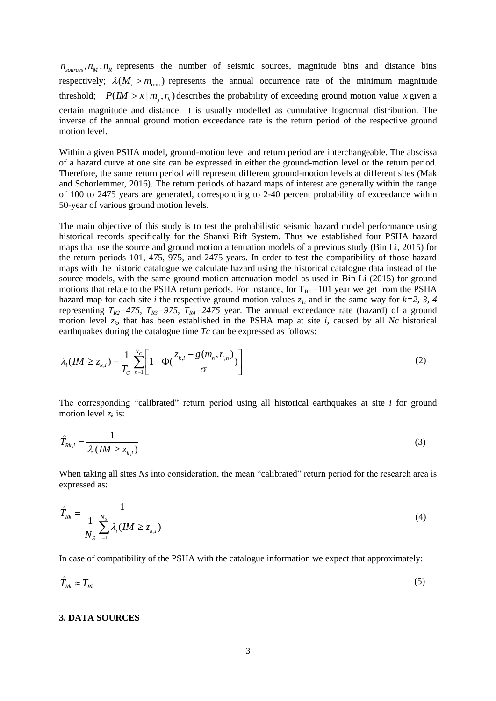$n_{\text{sources}}$ ,  $n_M$ ,  $n_R$  represents the number of seismic sources, magnitude bins and distance bins respectively;  $\lambda(M_i > m_{\text{min}})$  represents the annual occurrence rate of the minimum magnitude threshold;  $P(M > x | m_j, r_k)$  describes the probability of exceeding ground motion value x given a certain magnitude and distance. It is usually modelled as cumulative lognormal distribution. The inverse of the annual ground motion exceedance rate is the return period of the respective ground motion level.

Within a given PSHA model, ground-motion level and return period are interchangeable. The abscissa of a hazard curve at one site can be expressed in either the ground-motion level or the return period. Therefore, the same return period will represent different ground-motion levels at different sites (Mak and Schorlemmer, 2016). The return periods of hazard maps of interest are generally within the range of 100 to 2475 years are generated, corresponding to 2-40 percent probability of exceedance within 50-year of various ground motion levels.

The main objective of this study is to test the probabilistic seismic hazard model performance using historical records specifically for the Shanxi Rift System. Thus we established four PSHA hazard maps that use the source and ground motion attenuation models of a previous study (Bin Li, 2015) for the return periods 101, 475, 975, and 2475 years. In order to test the compatibility of those hazard maps with the historic catalogue we calculate hazard using the historical catalogue data instead of the source models, with the same ground motion attenuation model as used in Bin Li (2015) for ground motions that relate to the PSHA return periods. For instance, for  $T_{R1} = 101$  year we get from the PSHA hazard map for each site *i* the respective ground motion values  $z<sub>li</sub>$  and in the same way for  $k=2, 3, 4$ representing  $T_{R2}$ =475,  $T_{R3}$ =975,  $T_{R4}$ =2475 year. The annual exceedance rate (hazard) of a ground motion level *z<sup>k</sup>* , that has been established in the PSHA map at site *i*, caused by all *Nc* historical

earthquakes during the catalogue time *Tc* can be expressed as follows:  
\n
$$
\lambda_i (IM \ge z_{k,i}) = \frac{1}{T_c} \sum_{n=1}^{N_c} \left[ 1 - \Phi(\frac{z_{k,i} - g(m_n, r_{i,n})}{\sigma}) \right]
$$
\n(2)

The corresponding "calibrated" return period using all historical earthquakes at site *i* for ground motion level  $z_k$  is:

$$
\hat{T}_{Rk,i} = \frac{1}{\lambda_i (I M \ge z_{k,i})}
$$
\n(3)

When taking all sites *Ns* into consideration, the mean "calibrated" return period for the research area is expressed as:

$$
\hat{T}_{Rk} = \frac{1}{\frac{1}{N_S} \sum_{i=1}^{N_S} \lambda_i (I M \ge z_{k,i})}
$$
\n(4)

In case of compatibility of the PSHA with the catalogue information we expect that approximately:

$$
\hat{T}_{Rk} \approx T_{Rk} \tag{5}
$$

#### **3. DATA SOURCES**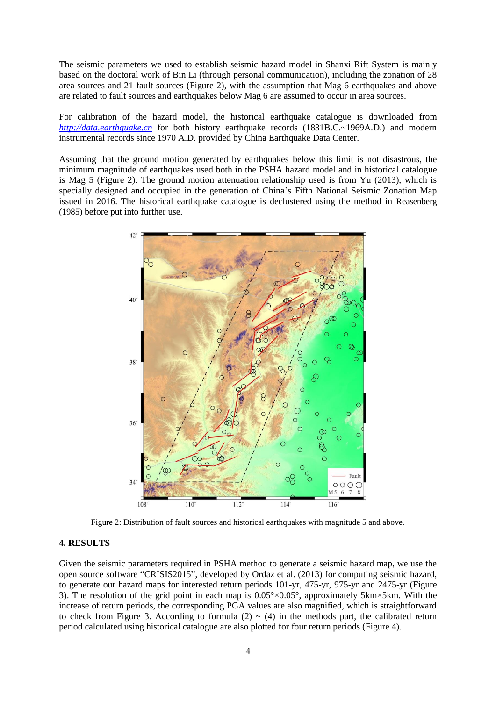The seismic parameters we used to establish seismic hazard model in Shanxi Rift System is mainly based on the doctoral work of Bin Li (through personal communication), including the zonation of 28 area sources and 21 fault sources (Figure 2), with the assumption that Mag 6 earthquakes and above are related to fault sources and earthquakes below Mag 6 are assumed to occur in area sources.

For calibration of the hazard model, the historical earthquake catalogue is downloaded from *[http://data.earthquake.cn](http://data.earthquake.cn/)* for both history earthquake records (1831B.C.~1969A.D.) and modern instrumental records since 1970 A.D. provided by China Earthquake Data Center.

Assuming that the ground motion generated by earthquakes below this limit is not disastrous, the minimum magnitude of earthquakes used both in the PSHA hazard model and in historical catalogue is Mag 5 (Figure 2). The ground motion attenuation relationship used is from Yu (2013), which is specially designed and occupied in the generation of China's Fifth National Seismic Zonation Map issued in 2016. The historical earthquake catalogue is declustered using the method in Reasenberg (1985) before put into further use.



Figure 2: Distribution of fault sources and historical earthquakes with magnitude 5 and above.

#### **4. RESULTS**

Given the seismic parameters required in PSHA method to generate a seismic hazard map, we use the open source software "CRISIS2015", developed by Ordaz et al. (2013) for computing seismic hazard, to generate our hazard maps for interested return periods 101-yr, 475-yr, 975-yr and 2475-yr (Figure 3). The resolution of the grid point in each map is  $0.05^{\circ}\times0.05^{\circ}$ , approximately 5km $\times$ 5km. With the increase of return periods, the corresponding PGA values are also magnified, which is straightforward to check from Figure 3. According to formula (2)  $\sim$  (4) in the methods part, the calibrated return period calculated using historical catalogue are also plotted for four return periods (Figure 4).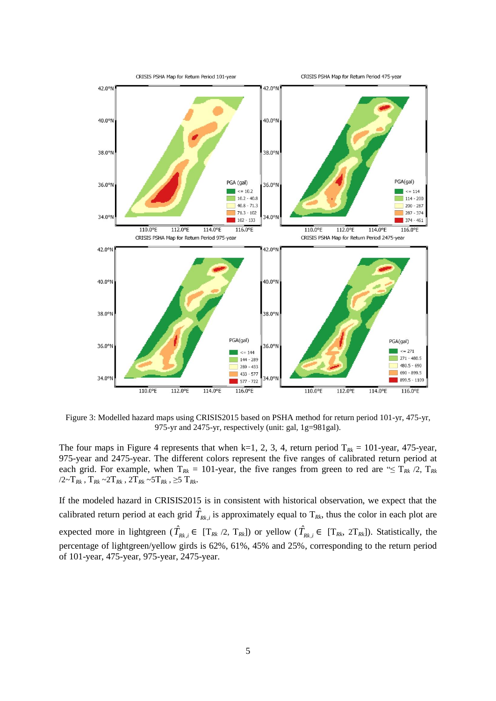

Figure 3: Modelled hazard maps using CRISIS2015 based on PSHA method for return period 101-yr, 475-yr, 975-yr and 2475-yr, respectively (unit: gal, 1g=981gal).

The four maps in Figure 4 represents that when k=1, 2, 3, 4, return period  $T_{Rk} = 101$ -year, 475-year, 975-year and 2475-year. The different colors represent the five ranges of calibrated return period at each grid. For example, when  $T_{Rk} = 101$ -year, the five ranges from green to red are " $\leq T_{Rk}$  /2,  $T_{Rk}$ /2~T*Rk* , T*Rk* ~2T*Rk* , 2T*Rk* ~5T*Rk* , ≥5 T*Rk*.

If the modeled hazard in CRISIS2015 is in consistent with historical observation, we expect that the calibrated return period at each grid  $\hat{T}_{Rk,i}$  is approximately equal to  $T_{Rk}$ , thus the color in each plot are expected more in lightgreen  $(\hat{T}_{Rk,i} \in [T_{Rk}/2, T_{Rk}])$  or yellow  $(\hat{T}_{Rk,i} \in [T_{Rk}, 2T_{Rk}])$ . Statistically, the percentage of lightgreen/yellow girds is 62%, 61%, 45% and 25%, corresponding to the return period of 101-year, 475-year, 975-year, 2475-year.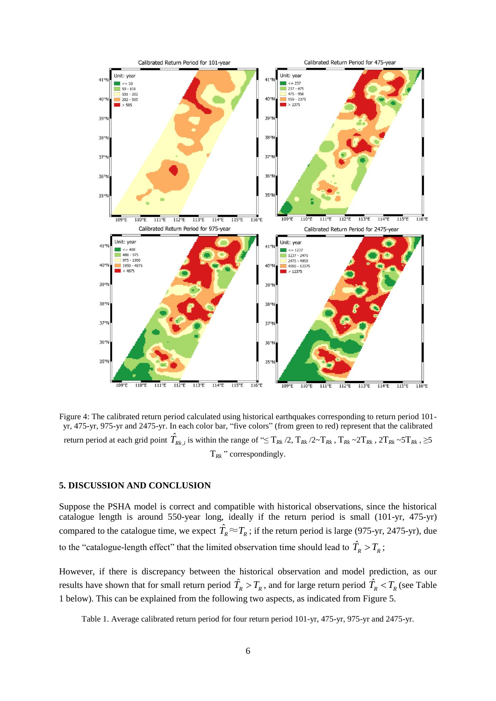

Figure 4: The calibrated return period calculated using historical earthquakes corresponding to return period 101 yr, 475-yr, 975-yr and 2475-yr. In each color bar, "five colors" (from green to red) represent that the calibrated return period at each grid point  $\hat{T}_{Rk,i}$  is within the range of "≤  $\rm T_{Rk}$  /2,  $\rm T_{Rk}$  /2~ $\rm T_{Rk}$  ,  $\rm T_{Rk}$   $\sim$  2 $\rm T_{Rk}$   $\sim$  5 $\rm T_{Rk}$  ,  $\ge$  5 $\rm T_{Rk}$  $T_{Rk}$ <sup>"</sup> correspondingly.

#### **5. DISCUSSION AND CONCLUSION**

Suppose the PSHA model is correct and compatible with historical observations, since the historical catalogue length is around 550-year long, ideally if the return period is small (101-yr, 475-yr) compared to the catalogue time, we expect  $\hat{T}_R \approx T_R$ ; if the return period is large (975-yr, 2475-yr), due to the "catalogue-length effect" that the limited observation time should lead to  $\hat{T}_R > T_R$ ;

However, if there is discrepancy between the historical observation and model prediction, as our results have shown that for small return period  $\hat{T}_R > T_R$ , and for large return period  $\hat{T}_R < T_R$  (see Table 1 below). This can be explained from the following two aspects, as indicated from Figure 5.

Table 1. Average calibrated return period for four return period 101-yr, 475-yr, 975-yr and 2475-yr.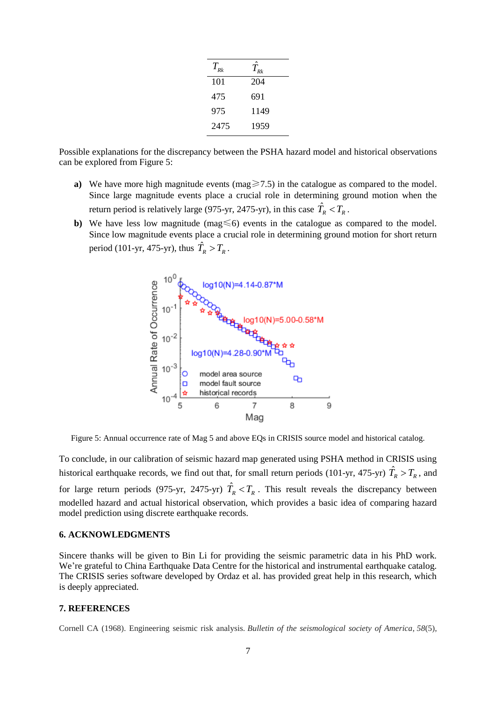| $T_{_{\scriptscriptstyle{Rk}}}$ | $\overline{T}_{\scriptscriptstyle \mathcal{R} k}$ |
|---------------------------------|---------------------------------------------------|
| 101                             | 204                                               |
| 475                             | 691                                               |
| 975                             | 1149                                              |
| 2475                            | 1959                                              |

Possible explanations for the discrepancy between the PSHA hazard model and historical observations can be explored from Figure 5:

- **a**) We have more high magnitude events (mag $\geq 7.5$ ) in the catalogue as compared to the model. Since large magnitude events place a crucial role in determining ground motion when the return period is relatively large (975-yr, 2475-yr), in this case  $\hat{T}_R < T_R$ .
- **b**) We have less low magnitude (mag ≤6) events in the catalogue as compared to the model. Since low magnitude events place a crucial role in determining ground motion for short return period (101-yr, 475-yr), thus  $\hat{T}_R > T_R$ .



Figure 5: Annual occurrence rate of Mag 5 and above EQs in CRISIS source model and historical catalog.

To conclude, in our calibration of seismic hazard map generated using PSHA method in CRISIS using historical earthquake records, we find out that, for small return periods (101-yr, 475-yr)  $\hat{T}_R > T_R$ , and for large return periods (975-yr, 2475-yr)  $\hat{T}_R < T_R$ . This result reveals the discrepancy between modelled hazard and actual historical observation, which provides a basic idea of comparing hazard model prediction using discrete earthquake records.

### **6. ACKNOWLEDGMENTS**

Sincere thanks will be given to Bin Li for providing the seismic parametric data in his PhD work. We're grateful to China Earthquake Data Centre for the historical and instrumental earthquake catalog. The CRISIS series software developed by Ordaz et al. has provided great help in this research, which is deeply appreciated.

## **7. REFERENCES**

Cornell CA (1968). Engineering seismic risk analysis. *Bulletin of the seismological society of America*, *58*(5),